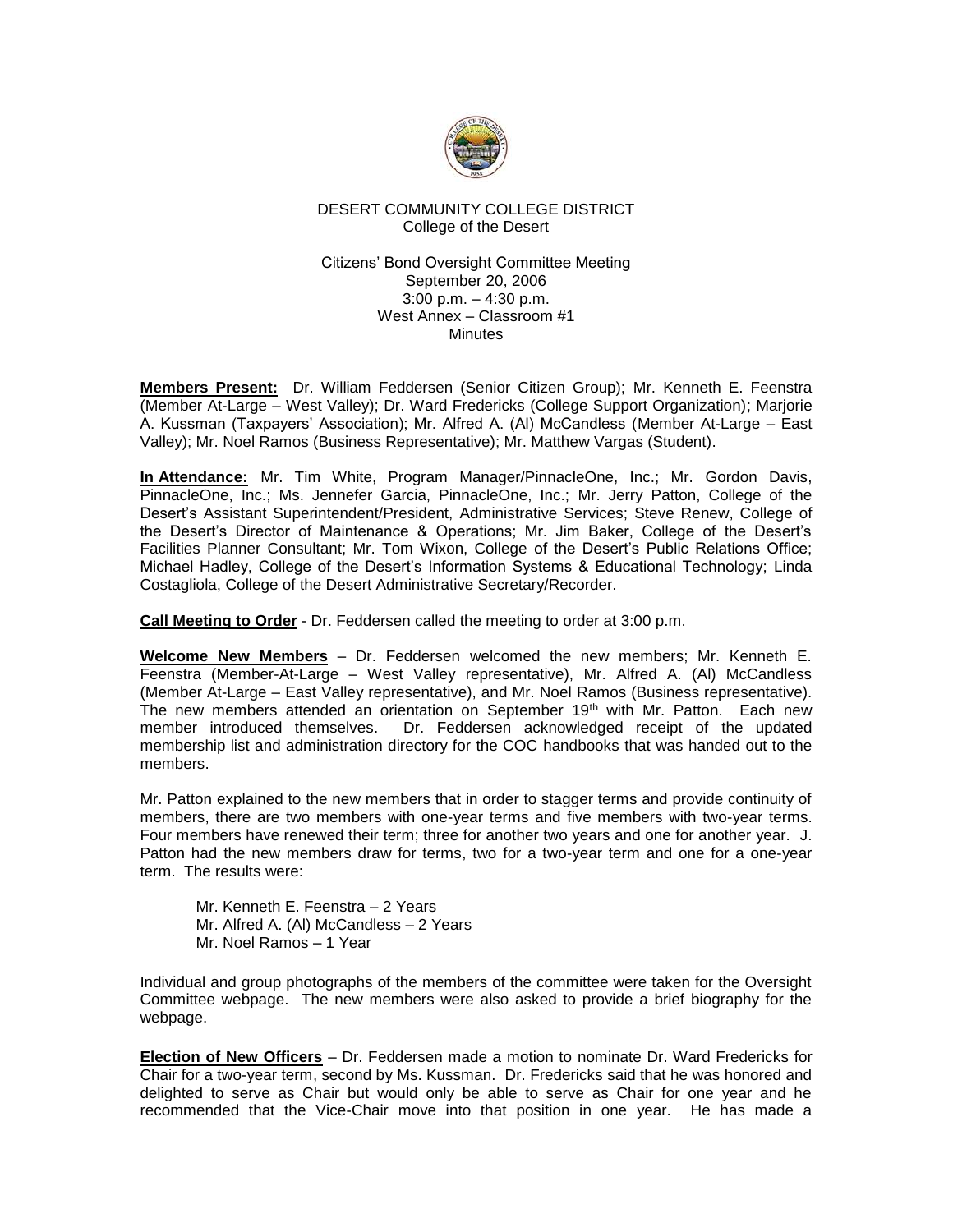

## DESERT COMMUNITY COLLEGE DISTRICT College of the Desert

### Citizens' Bond Oversight Committee Meeting September 20, 2006 3:00 p.m. – 4:30 p.m. West Annex – Classroom #1 **Minutes**

**Members Present:** Dr. William Feddersen (Senior Citizen Group); Mr. Kenneth E. Feenstra (Member At-Large – West Valley); Dr. Ward Fredericks (College Support Organization); Marjorie A. Kussman (Taxpayers' Association); Mr. Alfred A. (Al) McCandless (Member At-Large – East Valley); Mr. Noel Ramos (Business Representative); Mr. Matthew Vargas (Student).

**In Attendance:** Mr. Tim White, Program Manager/PinnacleOne, Inc.; Mr. Gordon Davis, PinnacleOne, Inc.; Ms. Jennefer Garcia, PinnacleOne, Inc.; Mr. Jerry Patton, College of the Desert's Assistant Superintendent/President, Administrative Services; Steve Renew, College of the Desert's Director of Maintenance & Operations; Mr. Jim Baker, College of the Desert's Facilities Planner Consultant; Mr. Tom Wixon, College of the Desert's Public Relations Office; Michael Hadley, College of the Desert's Information Systems & Educational Technology; Linda Costagliola, College of the Desert Administrative Secretary/Recorder.

**Call Meeting to Order** - Dr. Feddersen called the meeting to order at 3:00 p.m.

**Welcome New Members** – Dr. Feddersen welcomed the new members; Mr. Kenneth E. Feenstra (Member-At-Large – West Valley representative), Mr. Alfred A. (Al) McCandless (Member At-Large – East Valley representative), and Mr. Noel Ramos (Business representative). The new members attended an orientation on September 19<sup>th</sup> with Mr. Patton. Each new member introduced themselves. Dr. Feddersen acknowledged receipt of the updated membership list and administration directory for the COC handbooks that was handed out to the members.

Mr. Patton explained to the new members that in order to stagger terms and provide continuity of members, there are two members with one-year terms and five members with two-year terms. Four members have renewed their term; three for another two years and one for another year. J. Patton had the new members draw for terms, two for a two-year term and one for a one-year term. The results were:

Mr. Kenneth E. Feenstra – 2 Years Mr. Alfred A. (Al) McCandless – 2 Years Mr. Noel Ramos – 1 Year

Individual and group photographs of the members of the committee were taken for the Oversight Committee webpage. The new members were also asked to provide a brief biography for the webpage.

**Election of New Officers** – Dr. Feddersen made a motion to nominate Dr. Ward Fredericks for Chair for a two-year term, second by Ms. Kussman. Dr. Fredericks said that he was honored and delighted to serve as Chair but would only be able to serve as Chair for one year and he recommended that the Vice-Chair move into that position in one year. He has made a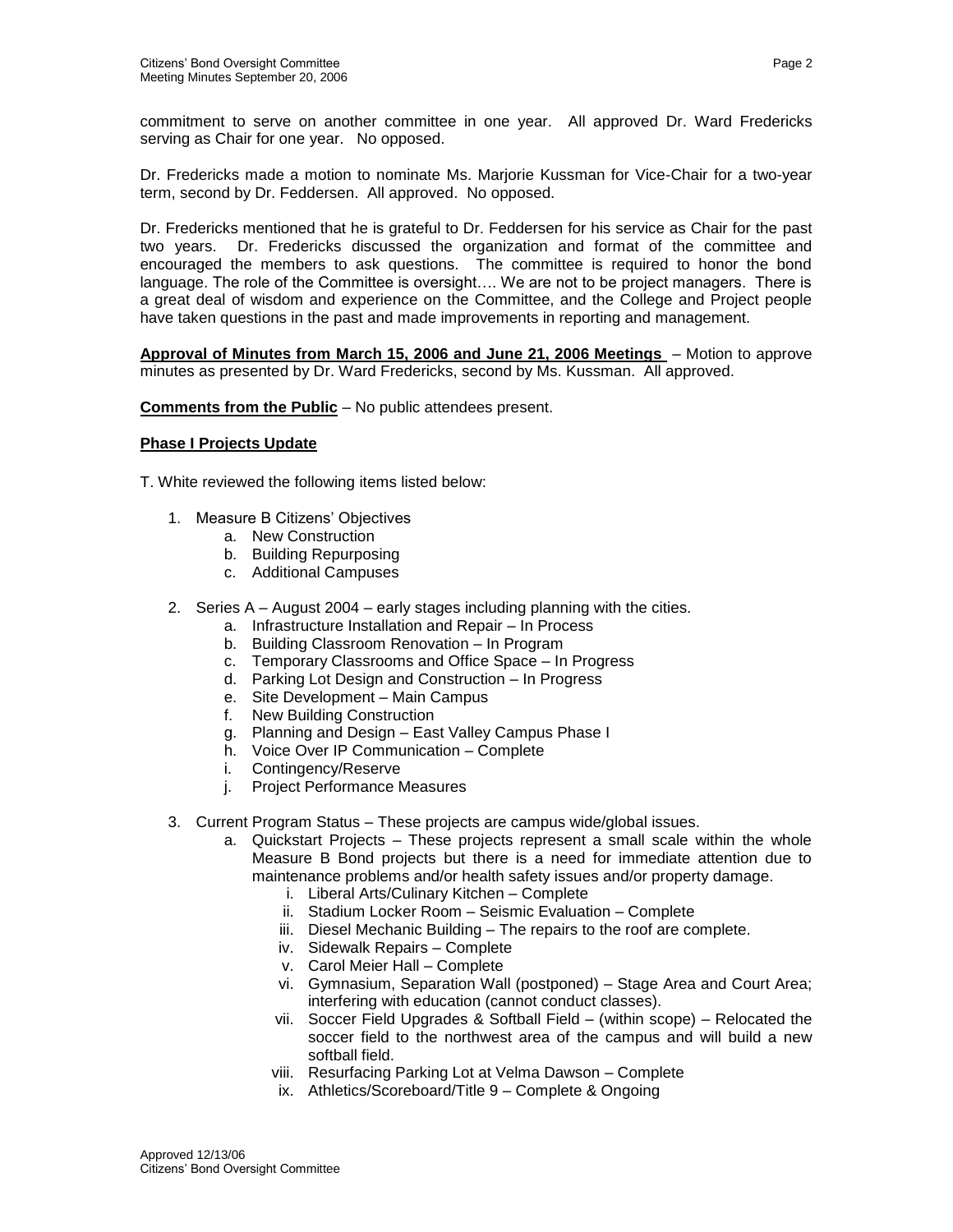commitment to serve on another committee in one year. All approved Dr. Ward Fredericks serving as Chair for one year. No opposed.

Dr. Fredericks made a motion to nominate Ms. Marjorie Kussman for Vice-Chair for a two-year term, second by Dr. Feddersen. All approved. No opposed.

Dr. Fredericks mentioned that he is grateful to Dr. Feddersen for his service as Chair for the past two years. Dr. Fredericks discussed the organization and format of the committee and encouraged the members to ask questions. The committee is required to honor the bond language. The role of the Committee is oversight…. We are not to be project managers. There is a great deal of wisdom and experience on the Committee, and the College and Project people have taken questions in the past and made improvements in reporting and management.

**Approval of Minutes from March 15, 2006 and June 21, 2006 Meetings** – Motion to approve minutes as presented by Dr. Ward Fredericks, second by Ms. Kussman. All approved.

**Comments from the Public** – No public attendees present.

### **Phase I Projects Update**

T. White reviewed the following items listed below:

- 1. Measure B Citizens' Objectives
	- a. New Construction
	- b. Building Repurposing
	- c. Additional Campuses
- 2. Series A August 2004 early stages including planning with the cities.
	- a. Infrastructure Installation and Repair In Process
	- b. Building Classroom Renovation In Program
	- c. Temporary Classrooms and Office Space In Progress
	- d. Parking Lot Design and Construction In Progress
	- e. Site Development Main Campus
	- f. New Building Construction
	- g. Planning and Design East Valley Campus Phase I
	- h. Voice Over IP Communication Complete
	- i. Contingency/Reserve
	- j. Project Performance Measures
- 3. Current Program Status These projects are campus wide/global issues.
	- a. Quickstart Projects These projects represent a small scale within the whole Measure B Bond projects but there is a need for immediate attention due to maintenance problems and/or health safety issues and/or property damage.
		- i. Liberal Arts/Culinary Kitchen Complete
		- ii. Stadium Locker Room Seismic Evaluation Complete
		- iii. Diesel Mechanic Building The repairs to the roof are complete.
		- iv. Sidewalk Repairs Complete
		- v. Carol Meier Hall Complete
		- vi. Gymnasium, Separation Wall (postponed) Stage Area and Court Area; interfering with education (cannot conduct classes).
		- vii. Soccer Field Upgrades & Softball Field (within scope) Relocated the soccer field to the northwest area of the campus and will build a new softball field.
		- viii. Resurfacing Parking Lot at Velma Dawson Complete
		- ix. Athletics/Scoreboard/Title 9 Complete & Ongoing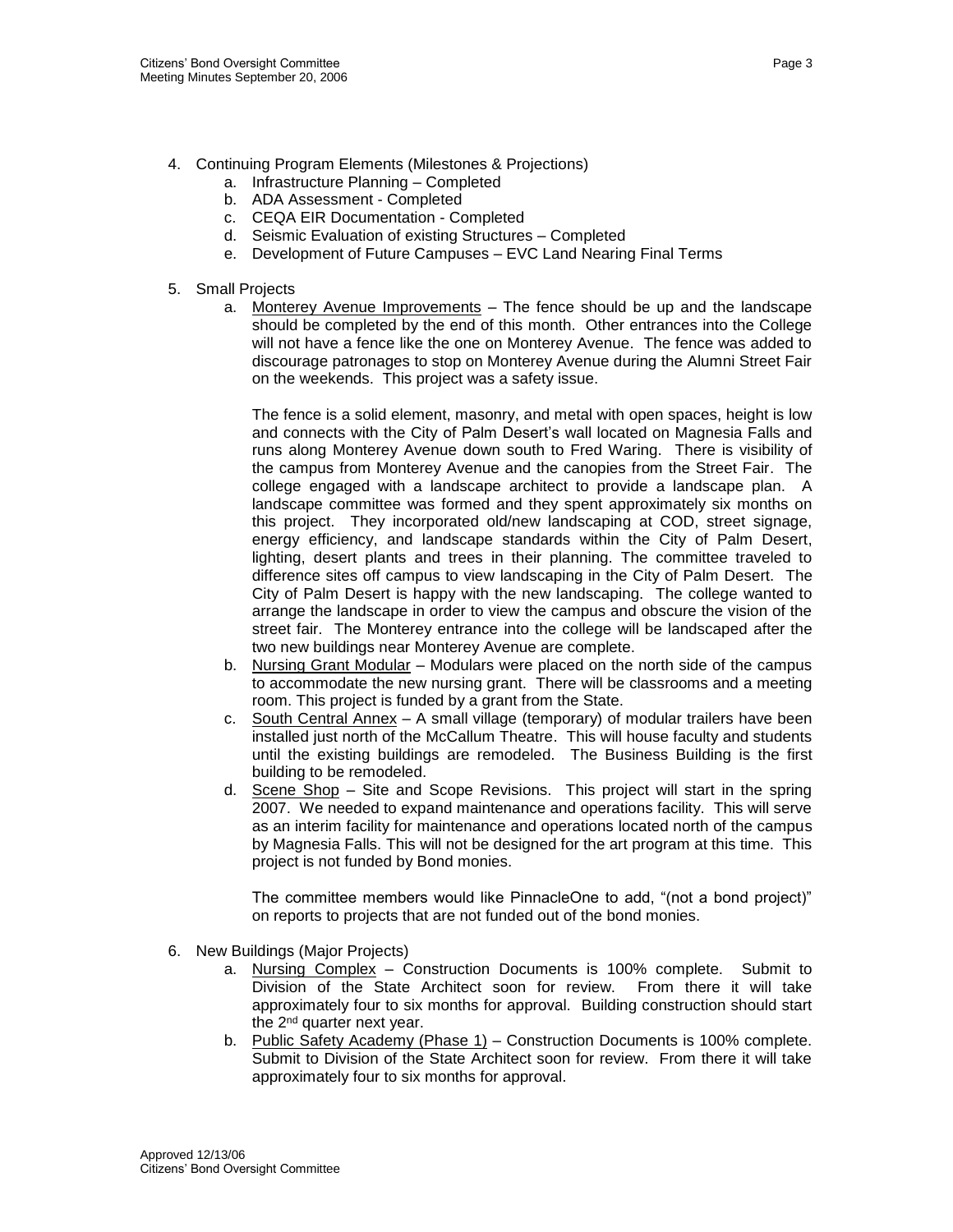- 4. Continuing Program Elements (Milestones & Projections)
	- a. Infrastructure Planning Completed
	- b. ADA Assessment Completed
	- c. CEQA EIR Documentation Completed
	- d. Seismic Evaluation of existing Structures Completed
	- e. Development of Future Campuses EVC Land Nearing Final Terms
- 5. Small Projects
	- a. Monterey Avenue Improvements The fence should be up and the landscape should be completed by the end of this month. Other entrances into the College will not have a fence like the one on Monterey Avenue. The fence was added to discourage patronages to stop on Monterey Avenue during the Alumni Street Fair on the weekends. This project was a safety issue.

The fence is a solid element, masonry, and metal with open spaces, height is low and connects with the City of Palm Desert's wall located on Magnesia Falls and runs along Monterey Avenue down south to Fred Waring. There is visibility of the campus from Monterey Avenue and the canopies from the Street Fair. The college engaged with a landscape architect to provide a landscape plan. A landscape committee was formed and they spent approximately six months on this project. They incorporated old/new landscaping at COD, street signage, energy efficiency, and landscape standards within the City of Palm Desert, lighting, desert plants and trees in their planning. The committee traveled to difference sites off campus to view landscaping in the City of Palm Desert. The City of Palm Desert is happy with the new landscaping. The college wanted to arrange the landscape in order to view the campus and obscure the vision of the street fair. The Monterey entrance into the college will be landscaped after the two new buildings near Monterey Avenue are complete.

- b. Nursing Grant Modular Modulars were placed on the north side of the campus to accommodate the new nursing grant. There will be classrooms and a meeting room. This project is funded by a grant from the State.
- c. South Central Annex A small village (temporary) of modular trailers have been installed just north of the McCallum Theatre. This will house faculty and students until the existing buildings are remodeled. The Business Building is the first building to be remodeled.
- d. Scene Shop Site and Scope Revisions. This project will start in the spring 2007. We needed to expand maintenance and operations facility. This will serve as an interim facility for maintenance and operations located north of the campus by Magnesia Falls. This will not be designed for the art program at this time. This project is not funded by Bond monies.

The committee members would like PinnacleOne to add, "(not a bond project)" on reports to projects that are not funded out of the bond monies.

- 6. New Buildings (Major Projects)
	- a. Nursing Complex Construction Documents is 100% complete. Submit to Division of the State Architect soon for review. From there it will take approximately four to six months for approval. Building construction should start the 2<sup>nd</sup> quarter next year.
	- b. Public Safety Academy (Phase 1) Construction Documents is 100% complete. Submit to Division of the State Architect soon for review. From there it will take approximately four to six months for approval.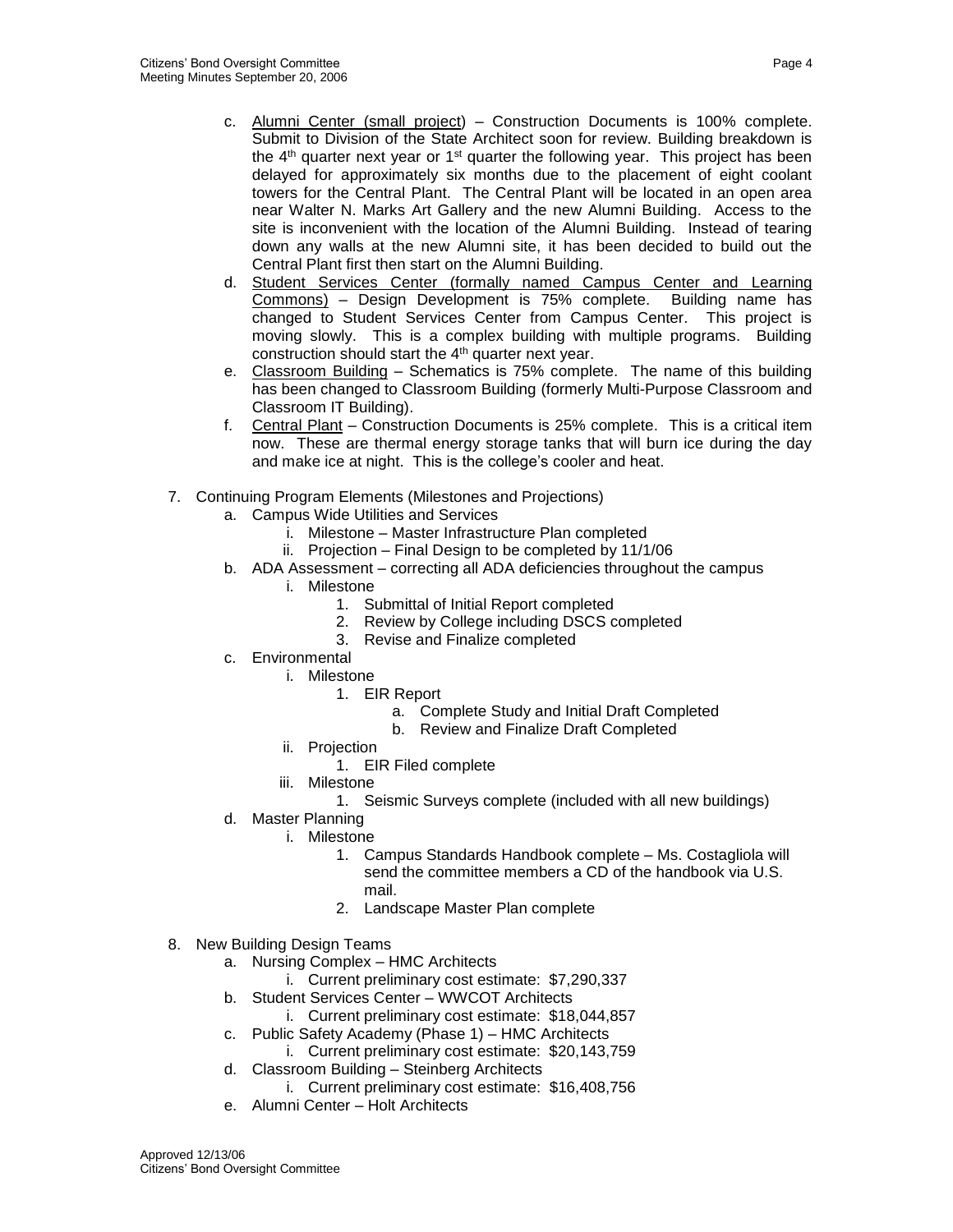- c. Alumni Center (small project) Construction Documents is 100% complete. Submit to Division of the State Architect soon for review. Building breakdown is the  $4<sup>th</sup>$  quarter next year or  $1<sup>st</sup>$  quarter the following year. This project has been delayed for approximately six months due to the placement of eight coolant towers for the Central Plant. The Central Plant will be located in an open area near Walter N. Marks Art Gallery and the new Alumni Building. Access to the site is inconvenient with the location of the Alumni Building. Instead of tearing down any walls at the new Alumni site, it has been decided to build out the Central Plant first then start on the Alumni Building.
- d. Student Services Center (formally named Campus Center and Learning Commons) – Design Development is 75% complete. Building name has changed to Student Services Center from Campus Center. This project is moving slowly. This is a complex building with multiple programs. Building construction should start the 4th quarter next year.
- e. Classroom Building Schematics is 75% complete. The name of this building has been changed to Classroom Building (formerly Multi-Purpose Classroom and Classroom IT Building).
- f. Central Plant Construction Documents is 25% complete. This is a critical item now. These are thermal energy storage tanks that will burn ice during the day and make ice at night. This is the college's cooler and heat.
- 7. Continuing Program Elements (Milestones and Projections)
	- a. Campus Wide Utilities and Services
		- i. Milestone Master Infrastructure Plan completed
		- ii. Projection Final Design to be completed by 11/1/06
	- b. ADA Assessment correcting all ADA deficiencies throughout the campus
		- i. Milestone
			- 1. Submittal of Initial Report completed
			- 2. Review by College including DSCS completed
			- 3. Revise and Finalize completed
	- c. Environmental
		- i. Milestone
			- 1. EIR Report
				- a. Complete Study and Initial Draft Completed
				- b. Review and Finalize Draft Completed
		- ii. Projection
			- 1. EIR Filed complete
		- iii. Milestone
			- 1. Seismic Surveys complete (included with all new buildings)
	- d. Master Planning
		- i. Milestone
			- 1. Campus Standards Handbook complete Ms. Costagliola will send the committee members a CD of the handbook via U.S. mail.
			- 2. Landscape Master Plan complete
- 8. New Building Design Teams
	- a. Nursing Complex HMC Architects
		- i. Current preliminary cost estimate: \$7,290,337
	- b. Student Services Center WWCOT Architects
		- i. Current preliminary cost estimate: \$18,044,857
	- c. Public Safety Academy (Phase 1) HMC Architects
		- i. Current preliminary cost estimate: \$20,143,759
	- d. Classroom Building Steinberg Architects
		- i. Current preliminary cost estimate: \$16,408,756
	- e. Alumni Center Holt Architects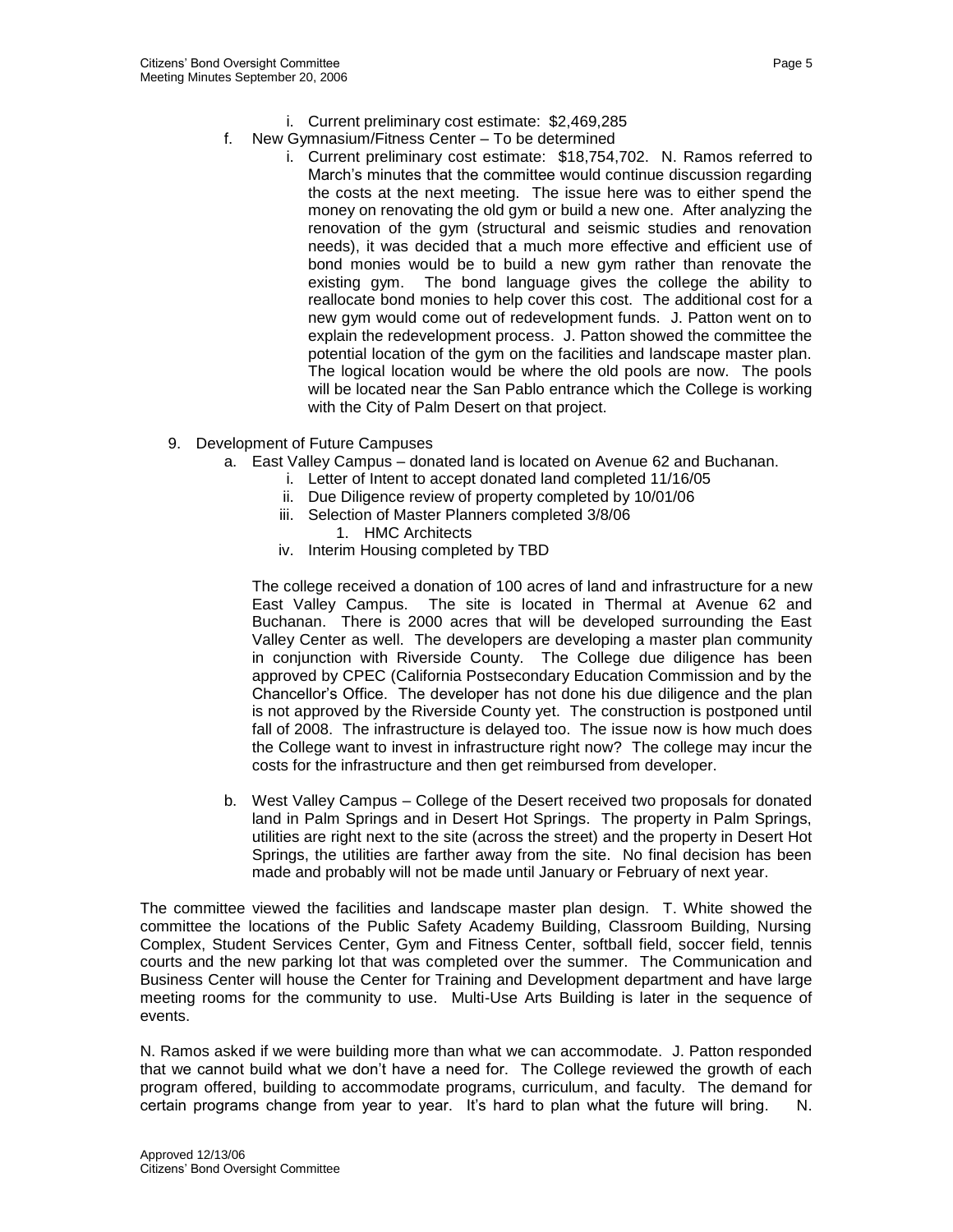- i. Current preliminary cost estimate: \$2,469,285
- f. New Gymnasium/Fitness Center To be determined
	- i. Current preliminary cost estimate: \$18,754,702. N. Ramos referred to March's minutes that the committee would continue discussion regarding the costs at the next meeting. The issue here was to either spend the money on renovating the old gym or build a new one. After analyzing the renovation of the gym (structural and seismic studies and renovation needs), it was decided that a much more effective and efficient use of bond monies would be to build a new gym rather than renovate the existing gym. The bond language gives the college the ability to reallocate bond monies to help cover this cost. The additional cost for a new gym would come out of redevelopment funds. J. Patton went on to explain the redevelopment process. J. Patton showed the committee the potential location of the gym on the facilities and landscape master plan. The logical location would be where the old pools are now. The pools will be located near the San Pablo entrance which the College is working with the City of Palm Desert on that project.
- 9. Development of Future Campuses
	- a. East Valley Campus donated land is located on Avenue 62 and Buchanan.
		- i. Letter of Intent to accept donated land completed 11/16/05
		- ii. Due Diligence review of property completed by 10/01/06
		- iii. Selection of Master Planners completed 3/8/06
			- 1. HMC Architects
		- iv. Interim Housing completed by TBD

The college received a donation of 100 acres of land and infrastructure for a new East Valley Campus. The site is located in Thermal at Avenue 62 and Buchanan. There is 2000 acres that will be developed surrounding the East Valley Center as well. The developers are developing a master plan community in conjunction with Riverside County. The College due diligence has been approved by CPEC (California Postsecondary Education Commission and by the Chancellor's Office. The developer has not done his due diligence and the plan is not approved by the Riverside County yet. The construction is postponed until fall of 2008. The infrastructure is delayed too. The issue now is how much does the College want to invest in infrastructure right now? The college may incur the costs for the infrastructure and then get reimbursed from developer.

b. West Valley Campus – College of the Desert received two proposals for donated land in Palm Springs and in Desert Hot Springs. The property in Palm Springs, utilities are right next to the site (across the street) and the property in Desert Hot Springs, the utilities are farther away from the site. No final decision has been made and probably will not be made until January or February of next year.

The committee viewed the facilities and landscape master plan design. T. White showed the committee the locations of the Public Safety Academy Building, Classroom Building, Nursing Complex, Student Services Center, Gym and Fitness Center, softball field, soccer field, tennis courts and the new parking lot that was completed over the summer. The Communication and Business Center will house the Center for Training and Development department and have large meeting rooms for the community to use. Multi-Use Arts Building is later in the sequence of events.

N. Ramos asked if we were building more than what we can accommodate. J. Patton responded that we cannot build what we don't have a need for. The College reviewed the growth of each program offered, building to accommodate programs, curriculum, and faculty. The demand for certain programs change from year to year. It's hard to plan what the future will bring. N.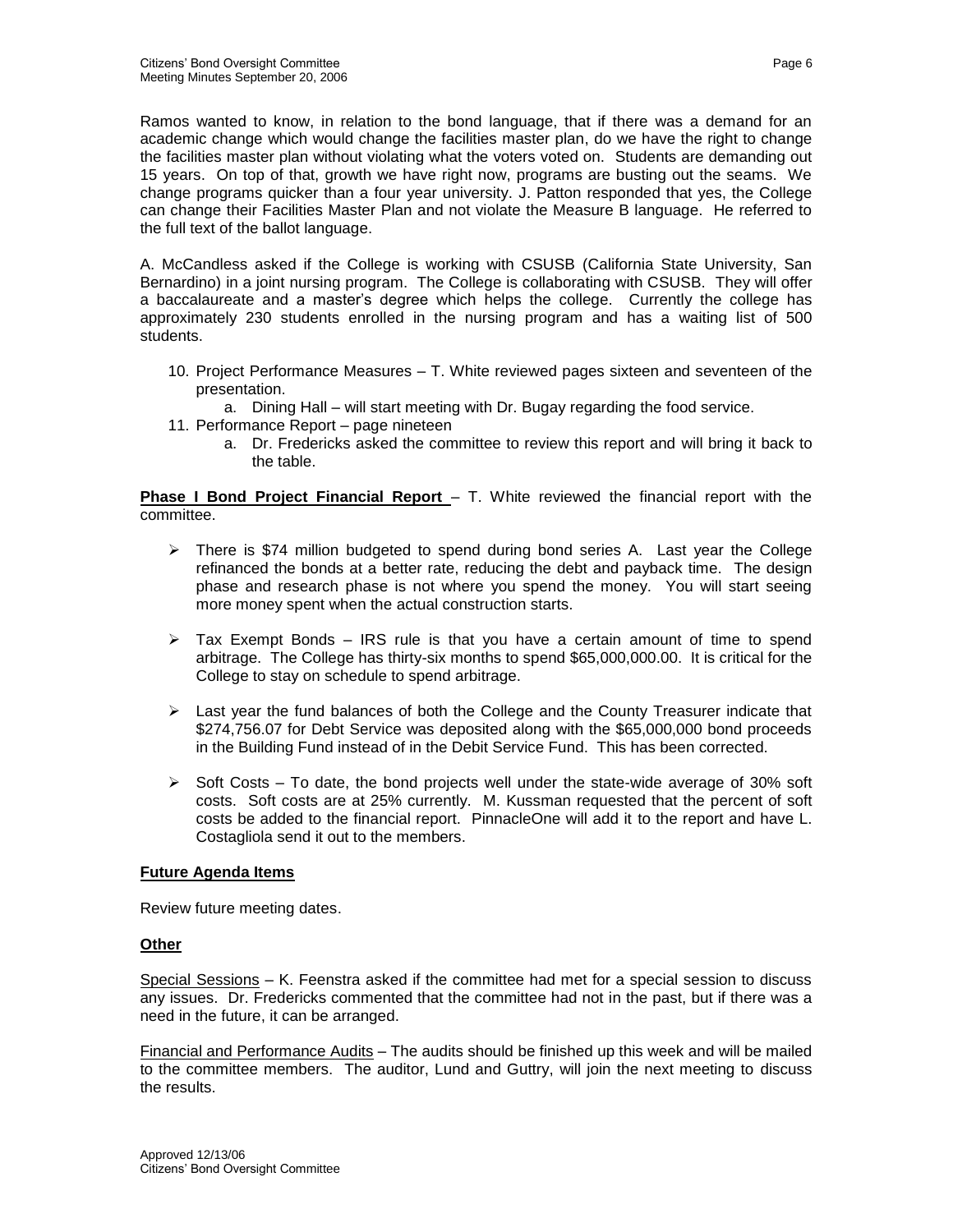Ramos wanted to know, in relation to the bond language, that if there was a demand for an academic change which would change the facilities master plan, do we have the right to change the facilities master plan without violating what the voters voted on. Students are demanding out 15 years. On top of that, growth we have right now, programs are busting out the seams. We change programs quicker than a four year university. J. Patton responded that yes, the College can change their Facilities Master Plan and not violate the Measure B language. He referred to the full text of the ballot language.

A. McCandless asked if the College is working with CSUSB (California State University, San Bernardino) in a joint nursing program. The College is collaborating with CSUSB. They will offer a baccalaureate and a master's degree which helps the college. Currently the college has approximately 230 students enrolled in the nursing program and has a waiting list of 500 students.

- 10. Project Performance Measures T. White reviewed pages sixteen and seventeen of the presentation.
- a. Dining Hall will start meeting with Dr. Bugay regarding the food service.
- 11. Performance Report page nineteen
	- a. Dr. Fredericks asked the committee to review this report and will bring it back to the table.

**Phase I Bond Project Financial Report** – T. White reviewed the financial report with the committee.

- $\triangleright$  There is \$74 million budgeted to spend during bond series A. Last year the College refinanced the bonds at a better rate, reducing the debt and payback time. The design phase and research phase is not where you spend the money. You will start seeing more money spent when the actual construction starts.
- $\triangleright$  Tax Exempt Bonds IRS rule is that you have a certain amount of time to spend arbitrage. The College has thirty-six months to spend \$65,000,000.00. It is critical for the College to stay on schedule to spend arbitrage.
- $\triangleright$  Last year the fund balances of both the College and the County Treasurer indicate that \$274,756.07 for Debt Service was deposited along with the \$65,000,000 bond proceeds in the Building Fund instead of in the Debit Service Fund. This has been corrected.
- $\triangleright$  Soft Costs To date, the bond projects well under the state-wide average of 30% soft costs. Soft costs are at 25% currently. M. Kussman requested that the percent of soft costs be added to the financial report. PinnacleOne will add it to the report and have L. Costagliola send it out to the members.

# **Future Agenda Items**

Review future meeting dates.

### **Other**

Special Sessions – K. Feenstra asked if the committee had met for a special session to discuss any issues. Dr. Fredericks commented that the committee had not in the past, but if there was a need in the future, it can be arranged.

Financial and Performance Audits – The audits should be finished up this week and will be mailed to the committee members. The auditor, Lund and Guttry, will join the next meeting to discuss the results.